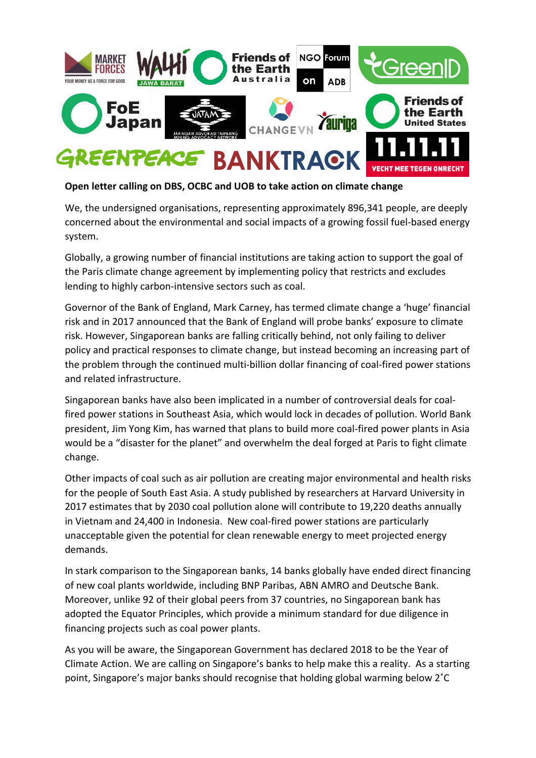

## **Open letter calling on DBS, OCBC and UOB to take action on climate change**

We, the undersigned organisations, representing approximately 896,341 people, are deeply concerned about the environmental and social impacts of a growing fossil fuel-based energy system. 

Globally, a growing number of financial institutions are taking action to support the goal of the Paris climate change agreement by implementing policy that restricts and excludes lending to highly carbon-intensive sectors such as coal.

Governor of the Bank of England, Mark Carney, has termed climate change a 'huge' financial risk and in 2017 announced that the Bank of England will probe banks' exposure to climate risk. However, Singaporean banks are falling critically behind, not only failing to deliver policy and practical responses to climate change, but instead becoming an increasing part of the problem through the continued multi-billion dollar financing of coal-fired power stations and related infrastructure.

Singaporean banks have also been implicated in a number of controversial deals for coalfired power stations in Southeast Asia, which would lock in decades of pollution. World Bank president, Jim Yong Kim, has warned that plans to build more coal-fired power plants in Asia would be a "disaster for the planet" and overwhelm the deal forged at Paris to fight climate change.

Other impacts of coal such as air pollution are creating major environmental and health risks for the people of South East Asia. A study published by researchers at Harvard University in 2017 estimates that by 2030 coal pollution alone will contribute to 19,220 deaths annually in Vietnam and 24,400 in Indonesia. New coal-fired power stations are particularly unacceptable given the potential for clean renewable energy to meet projected energy demands.

In stark comparison to the Singaporean banks, 14 banks globally have ended direct financing of new coal plants worldwide, including BNP Paribas, ABN AMRO and Deutsche Bank. Moreover, unlike 92 of their global peers from 37 countries, no Singaporean bank has adopted the Equator Principles, which provide a minimum standard for due diligence in financing projects such as coal power plants.

As you will be aware, the Singaporean Government has declared 2018 to be the Year of Climate Action. We are calling on Singapore's banks to help make this a reality. As a starting point, Singapore's major banks should recognise that holding global warming below 2°C